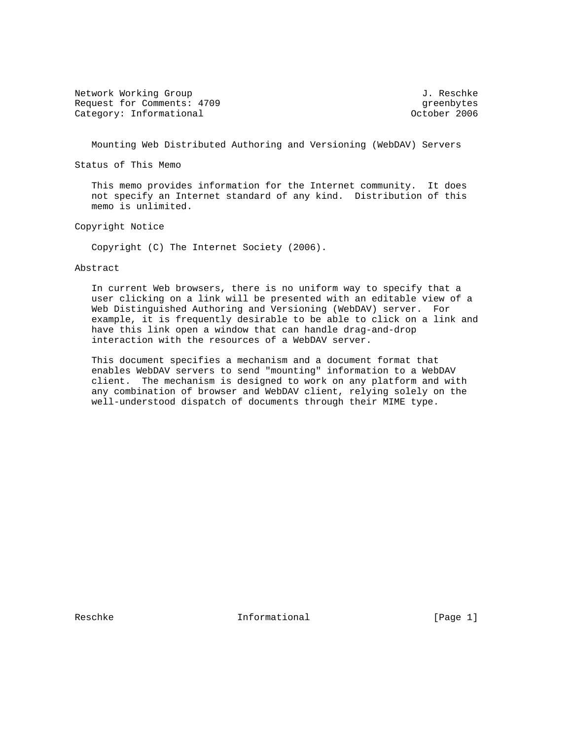Network Working Group 3. 2008 3. 2010 1. Reschke Request for Comments: 4709 and the comments of the comments of the comments of the comments of the comments of the comments of the comments of the comments of the comments of the comments of the comments of the comments of Category: Informational

Mounting Web Distributed Authoring and Versioning (WebDAV) Servers

Status of This Memo

 This memo provides information for the Internet community. It does not specify an Internet standard of any kind. Distribution of this memo is unlimited.

Copyright Notice

Copyright (C) The Internet Society (2006).

Abstract

 In current Web browsers, there is no uniform way to specify that a user clicking on a link will be presented with an editable view of a Web Distinguished Authoring and Versioning (WebDAV) server. For example, it is frequently desirable to be able to click on a link and have this link open a window that can handle drag-and-drop interaction with the resources of a WebDAV server.

 This document specifies a mechanism and a document format that enables WebDAV servers to send "mounting" information to a WebDAV client. The mechanism is designed to work on any platform and with any combination of browser and WebDAV client, relying solely on the well-understood dispatch of documents through their MIME type.

Reschke Informational [Page 1]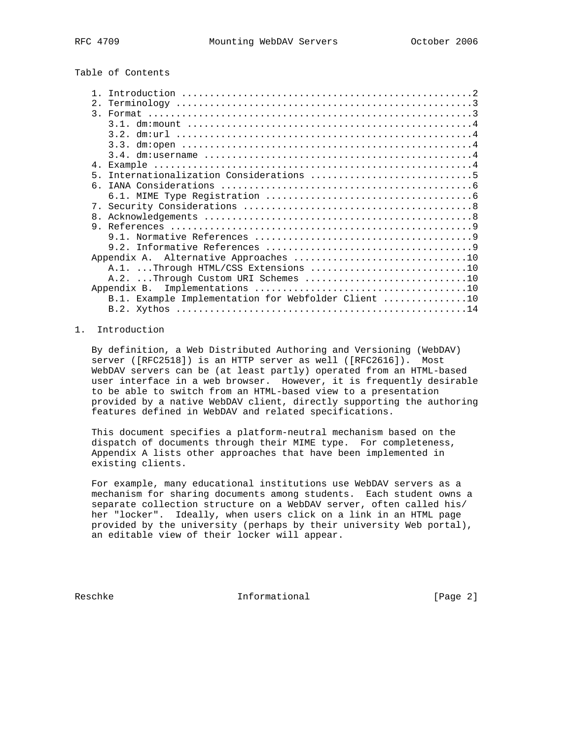Table of Contents

| 2.<br>$\mathcal{R}$                                 |  |
|-----------------------------------------------------|--|
|                                                     |  |
|                                                     |  |
|                                                     |  |
|                                                     |  |
|                                                     |  |
|                                                     |  |
|                                                     |  |
| 5 <sub>1</sub>                                      |  |
| б.                                                  |  |
|                                                     |  |
| 7 <sub>1</sub>                                      |  |
| 8.                                                  |  |
|                                                     |  |
|                                                     |  |
|                                                     |  |
|                                                     |  |
| A.1. Through HTML/CSS Extensions 10                 |  |
|                                                     |  |
|                                                     |  |
| B.1. Example Implementation for Webfolder Client 10 |  |
|                                                     |  |

### 1. Introduction

 By definition, a Web Distributed Authoring and Versioning (WebDAV) server ([RFC2518]) is an HTTP server as well ([RFC2616]). Most WebDAV servers can be (at least partly) operated from an HTML-based user interface in a web browser. However, it is frequently desirable to be able to switch from an HTML-based view to a presentation provided by a native WebDAV client, directly supporting the authoring features defined in WebDAV and related specifications.

 This document specifies a platform-neutral mechanism based on the dispatch of documents through their MIME type. For completeness, Appendix A lists other approaches that have been implemented in existing clients.

 For example, many educational institutions use WebDAV servers as a mechanism for sharing documents among students. Each student owns a separate collection structure on a WebDAV server, often called his/ her "locker". Ideally, when users click on a link in an HTML page provided by the university (perhaps by their university Web portal), an editable view of their locker will appear.

Reschke Informational [Page 2]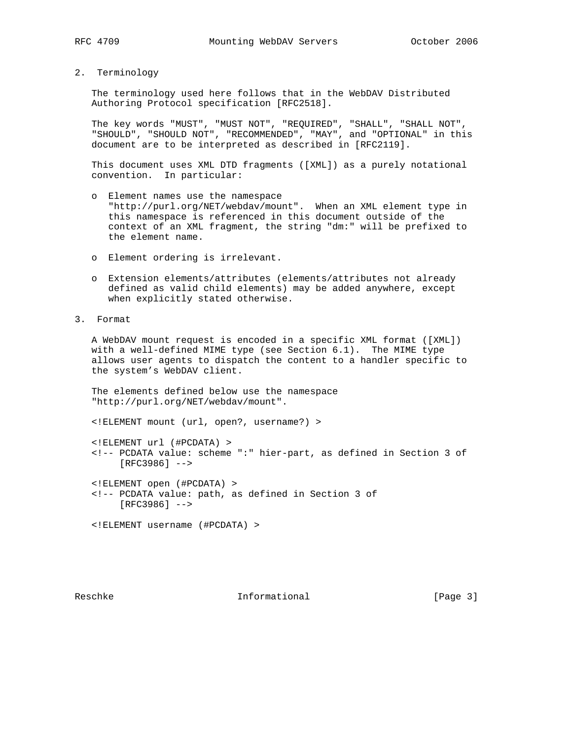2. Terminology

 The terminology used here follows that in the WebDAV Distributed Authoring Protocol specification [RFC2518].

 The key words "MUST", "MUST NOT", "REQUIRED", "SHALL", "SHALL NOT", "SHOULD", "SHOULD NOT", "RECOMMENDED", "MAY", and "OPTIONAL" in this document are to be interpreted as described in [RFC2119].

 This document uses XML DTD fragments ([XML]) as a purely notational convention. In particular:

- o Element names use the namespace "http://purl.org/NET/webdav/mount". When an XML element type in this namespace is referenced in this document outside of the context of an XML fragment, the string "dm:" will be prefixed to the element name.
- o Element ordering is irrelevant.
- o Extension elements/attributes (elements/attributes not already defined as valid child elements) may be added anywhere, except when explicitly stated otherwise.
- 3. Format

 A WebDAV mount request is encoded in a specific XML format ([XML]) with a well-defined MIME type (see Section 6.1). The MIME type allows user agents to dispatch the content to a handler specific to the system's WebDAV client.

 The elements defined below use the namespace "http://purl.org/NET/webdav/mount".

<!ELEMENT mount (url, open?, username?) >

 <!ELEMENT url (#PCDATA) > <!-- PCDATA value: scheme ":" hier-part, as defined in Section 3 of  $[RFC3986]$  -->

 <!ELEMENT open (#PCDATA) > <!-- PCDATA value: path, as defined in Section 3 of  $[RFC3986]$  -->

<!ELEMENT username (#PCDATA) >

Reschke Informational [Page 3]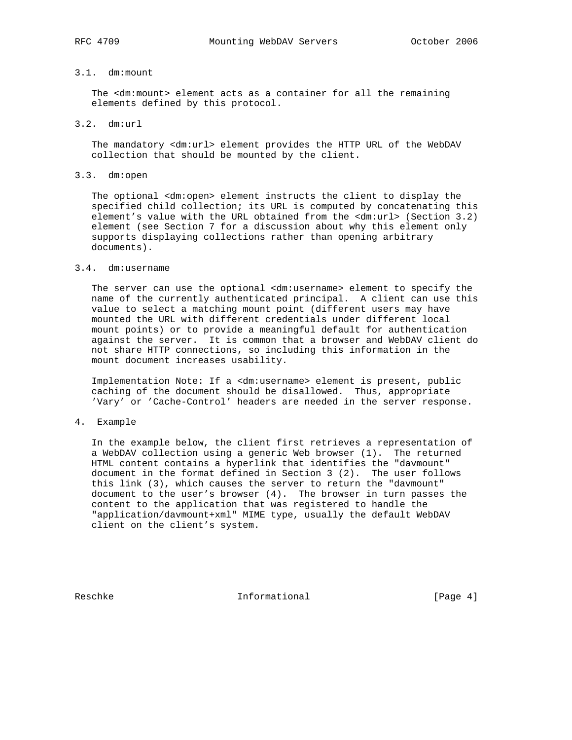## 3.1. dm:mount

 The <dm:mount> element acts as a container for all the remaining elements defined by this protocol.

3.2. dm:url

 The mandatory <dm:url> element provides the HTTP URL of the WebDAV collection that should be mounted by the client.

#### 3.3. dm:open

 The optional <dm:open> element instructs the client to display the specified child collection; its URL is computed by concatenating this element's value with the URL obtained from the <dm:url> (Section 3.2) element (see Section 7 for a discussion about why this element only supports displaying collections rather than opening arbitrary documents).

#### 3.4. dm:username

 The server can use the optional <dm:username> element to specify the name of the currently authenticated principal. A client can use this value to select a matching mount point (different users may have mounted the URL with different credentials under different local mount points) or to provide a meaningful default for authentication against the server. It is common that a browser and WebDAV client do not share HTTP connections, so including this information in the mount document increases usability.

 Implementation Note: If a <dm:username> element is present, public caching of the document should be disallowed. Thus, appropriate 'Vary' or 'Cache-Control' headers are needed in the server response.

### 4. Example

 In the example below, the client first retrieves a representation of a WebDAV collection using a generic Web browser (1). The returned HTML content contains a hyperlink that identifies the "davmount" document in the format defined in Section 3 (2). The user follows this link (3), which causes the server to return the "davmount" document to the user's browser (4). The browser in turn passes the content to the application that was registered to handle the "application/davmount+xml" MIME type, usually the default WebDAV client on the client's system.

Reschke Informational [Page 4]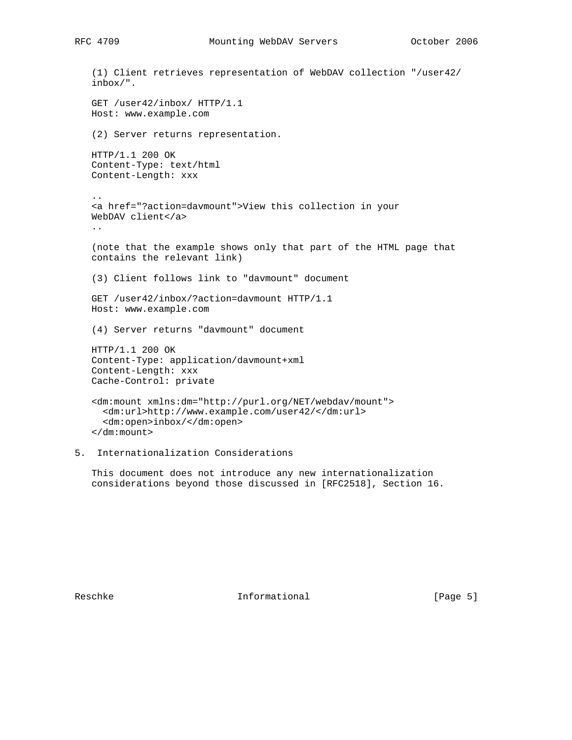```
 (1) Client retrieves representation of WebDAV collection "/user42/
  inbox/".
  GET /user42/inbox/ HTTP/1.1
  Host: www.example.com
  (2) Server returns representation.
  HTTP/1.1 200 OK
  Content-Type: text/html
  Content-Length: xxx
..
  <a href="?action=davmount">View this collection in your
  WebDAV client</a>
   ..
  (note that the example shows only that part of the HTML page that
  contains the relevant link)
  (3) Client follows link to "davmount" document
  GET /user42/inbox/?action=davmount HTTP/1.1
  Host: www.example.com
  (4) Server returns "davmount" document
  HTTP/1.1 200 OK
  Content-Type: application/davmount+xml
  Content-Length: xxx
  Cache-Control: private
  <dm:mount xmlns:dm="http://purl.org/NET/webdav/mount">
    <dm:url>http://www.example.com/user42/</dm:url>
     <dm:open>inbox/</dm:open>
  </dm:mount>
```

```
5. Internationalization Considerations
```
 This document does not introduce any new internationalization considerations beyond those discussed in [RFC2518], Section 16.

Reschke Informational [Page 5]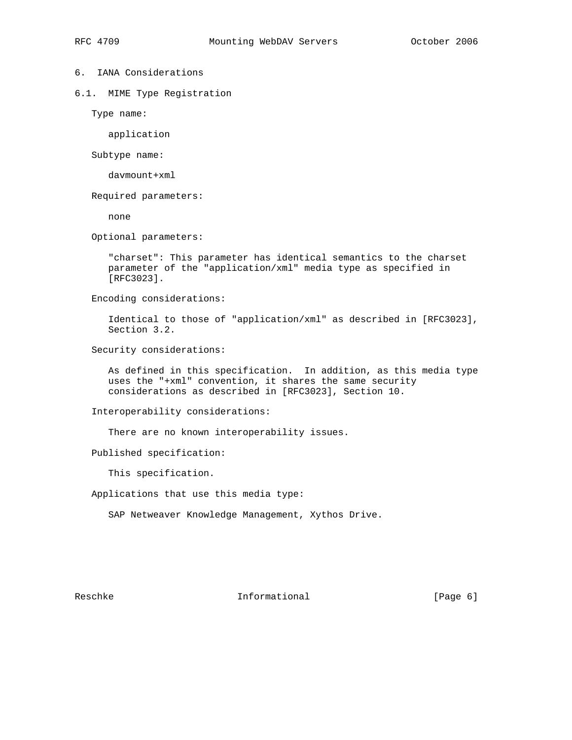## 6. IANA Considerations

#### 6.1. MIME Type Registration

Type name:

application

Subtype name:

davmount+xml

Required parameters:

none

Optional parameters:

 "charset": This parameter has identical semantics to the charset parameter of the "application/xml" media type as specified in [RFC3023].

Encoding considerations:

 Identical to those of "application/xml" as described in [RFC3023], Section 3.2.

Security considerations:

 As defined in this specification. In addition, as this media type uses the "+xml" convention, it shares the same security considerations as described in [RFC3023], Section 10.

Interoperability considerations:

There are no known interoperability issues.

Published specification:

This specification.

Applications that use this media type:

SAP Netweaver Knowledge Management, Xythos Drive.

Reschke Informational [Page 6]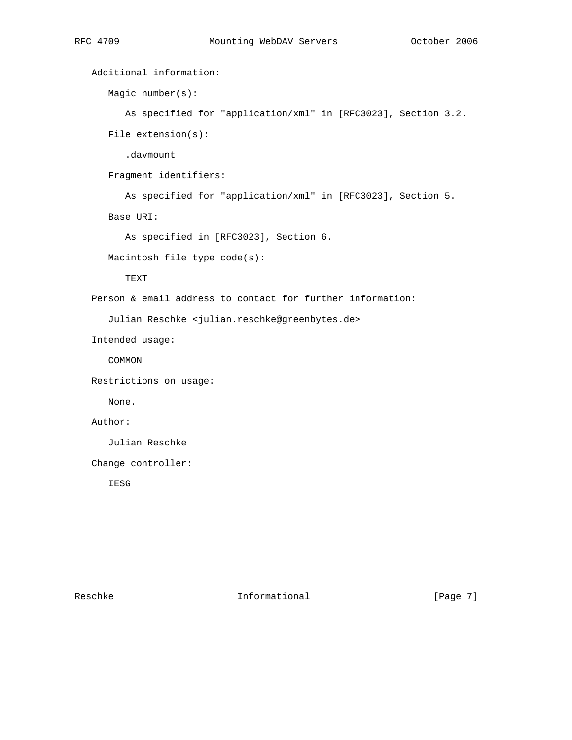```
 Additional information:
   Magic number(s):
      As specified for "application/xml" in [RFC3023], Section 3.2.
   File extension(s):
      .davmount
   Fragment identifiers:
      As specified for "application/xml" in [RFC3023], Section 5.
   Base URI:
      As specified in [RFC3023], Section 6.
   Macintosh file type code(s):
      TEXT
Person & email address to contact for further information:
   Julian Reschke <julian.reschke@greenbytes.de>
Intended usage:
   COMMON
Restrictions on usage:
   None.
Author:
   Julian Reschke
Change controller:
   IESG
```
Reschke Informational [Page 7]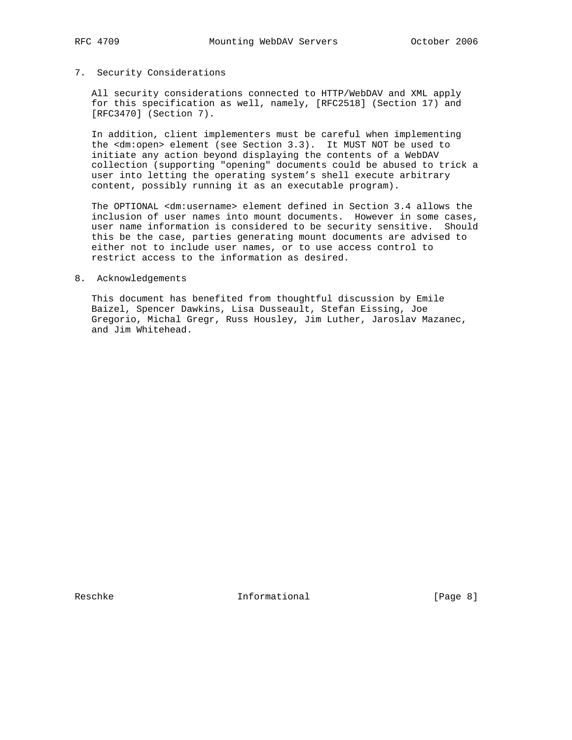## 7. Security Considerations

 All security considerations connected to HTTP/WebDAV and XML apply for this specification as well, namely, [RFC2518] (Section 17) and [RFC3470] (Section 7).

 In addition, client implementers must be careful when implementing the <dm:open> element (see Section 3.3). It MUST NOT be used to initiate any action beyond displaying the contents of a WebDAV collection (supporting "opening" documents could be abused to trick a user into letting the operating system's shell execute arbitrary content, possibly running it as an executable program).

 The OPTIONAL <dm:username> element defined in Section 3.4 allows the inclusion of user names into mount documents. However in some cases, user name information is considered to be security sensitive. Should this be the case, parties generating mount documents are advised to either not to include user names, or to use access control to restrict access to the information as desired.

### 8. Acknowledgements

 This document has benefited from thoughtful discussion by Emile Baizel, Spencer Dawkins, Lisa Dusseault, Stefan Eissing, Joe Gregorio, Michal Gregr, Russ Housley, Jim Luther, Jaroslav Mazanec, and Jim Whitehead.

Reschke Informational [Page 8]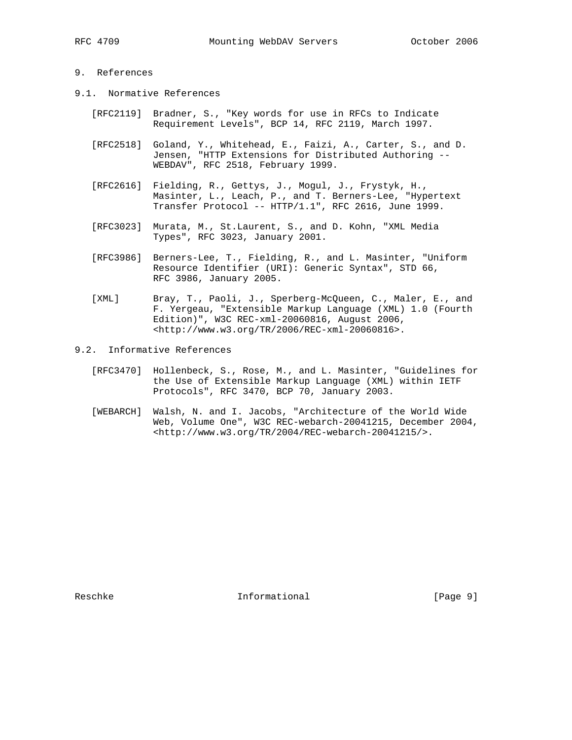## 9. References

- 9.1. Normative References
	- [RFC2119] Bradner, S., "Key words for use in RFCs to Indicate Requirement Levels", BCP 14, RFC 2119, March 1997.
	- [RFC2518] Goland, Y., Whitehead, E., Faizi, A., Carter, S., and D. Jensen, "HTTP Extensions for Distributed Authoring -- WEBDAV", RFC 2518, February 1999.
	- [RFC2616] Fielding, R., Gettys, J., Mogul, J., Frystyk, H., Masinter, L., Leach, P., and T. Berners-Lee, "Hypertext Transfer Protocol -- HTTP/1.1", RFC 2616, June 1999.
	- [RFC3023] Murata, M., St.Laurent, S., and D. Kohn, "XML Media Types", RFC 3023, January 2001.
	- [RFC3986] Berners-Lee, T., Fielding, R., and L. Masinter, "Uniform Resource Identifier (URI): Generic Syntax", STD 66, RFC 3986, January 2005.
	- [XML] Bray, T., Paoli, J., Sperberg-McQueen, C., Maler, E., and F. Yergeau, "Extensible Markup Language (XML) 1.0 (Fourth Edition)", W3C REC-xml-20060816, August 2006, <http://www.w3.org/TR/2006/REC-xml-20060816>.
- 9.2. Informative References
	- [RFC3470] Hollenbeck, S., Rose, M., and L. Masinter, "Guidelines for the Use of Extensible Markup Language (XML) within IETF Protocols", RFC 3470, BCP 70, January 2003.
	- [WEBARCH] Walsh, N. and I. Jacobs, "Architecture of the World Wide Web, Volume One", W3C REC-webarch-20041215, December 2004, <http://www.w3.org/TR/2004/REC-webarch-20041215/>.

Reschke Informational [Page 9]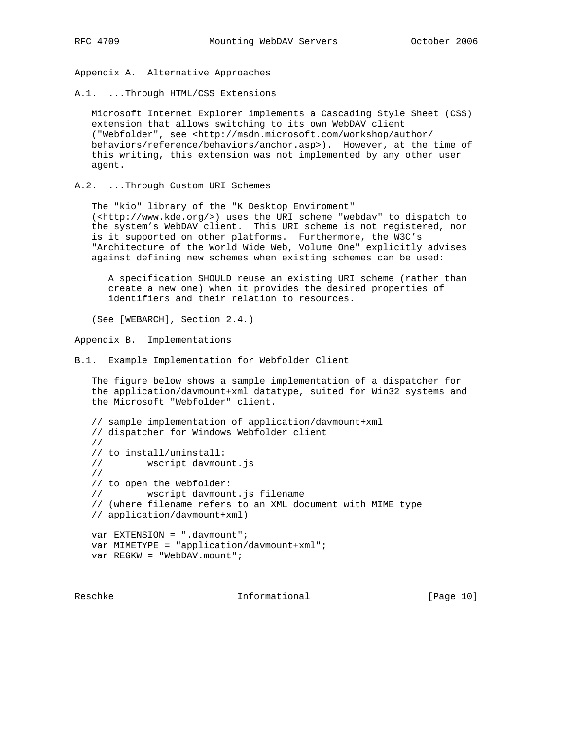Appendix A. Alternative Approaches

A.1. ...Through HTML/CSS Extensions

 Microsoft Internet Explorer implements a Cascading Style Sheet (CSS) extension that allows switching to its own WebDAV client ("Webfolder", see <http://msdn.microsoft.com/workshop/author/ behaviors/reference/behaviors/anchor.asp>). However, at the time of this writing, this extension was not implemented by any other user agent.

A.2. ...Through Custom URI Schemes

 The "kio" library of the "K Desktop Enviroment" (<http://www.kde.org/>) uses the URI scheme "webdav" to dispatch to the system's WebDAV client. This URI scheme is not registered, nor is it supported on other platforms. Furthermore, the W3C's "Architecture of the World Wide Web, Volume One" explicitly advises against defining new schemes when existing schemes can be used:

 A specification SHOULD reuse an existing URI scheme (rather than create a new one) when it provides the desired properties of identifiers and their relation to resources.

(See [WEBARCH], Section 2.4.)

Appendix B. Implementations

B.1. Example Implementation for Webfolder Client

 The figure below shows a sample implementation of a dispatcher for the application/davmount+xml datatype, suited for Win32 systems and the Microsoft "Webfolder" client.

```
 // sample implementation of application/davmount+xml
// dispatcher for Windows Webfolder client
//
// to install/uninstall:
// wscript davmount.js
//
// to open the webfolder:
// wscript davmount.js filename
// (where filename refers to an XML document with MIME type
// application/davmount+xml)
var EXTENSION = ".davmount";
var MIMETYPE = "application/davmount+xml";
```

```
 var REGKW = "WebDAV.mount";
```
Reschke Informational [Page 10]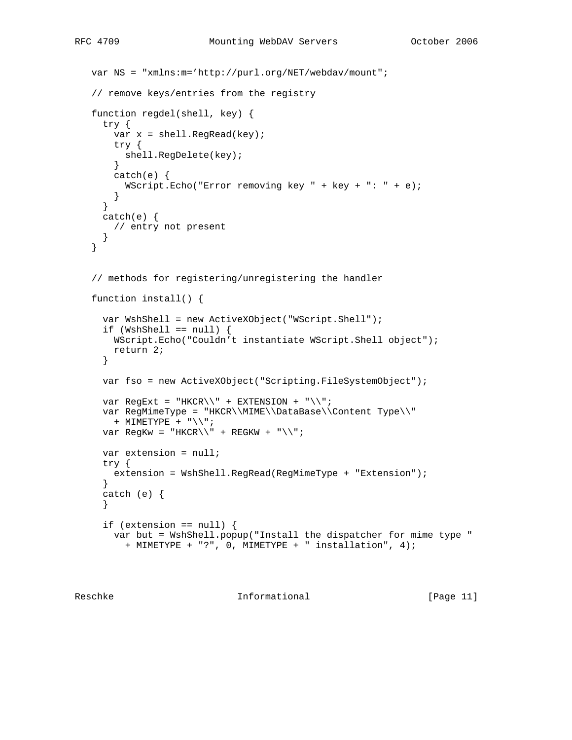```
 var NS = "xmlns:m='http://purl.org/NET/webdav/mount";
// remove keys/entries from the registry
function regdel(shell, key) {
 try {
   var x = shell.RegRead(key);
   try {
     shell.RegDelete(key);
    }
   catch(e) {
     WScript.Echo("Error removing key " + key + ": " + e);
    }
  }
  catch(e) {
   // entry not present
  }
}
// methods for registering/unregistering the handler
function install() {
 var WshShell = new ActiveXObject("WScript.Shell");
 if (WshShell == null) {
    WScript.Echo("Couldn't instantiate WScript.Shell object");
   return 2;
  }
  var fso = new ActiveXObject("Scripting.FileSystemObject");
 var RegExt = "HKCR\\" + EXTENSION + "\\";
  var RegMimeType = "HKCR\\MIME\\DataBase\\Content Type\\"
   + MIMETYPE + "\\";
 var RegKw = "HKCR\\" + REGKW + "\\";
  var extension = null;
  try {
   extension = WshShell.RegRead(RegMimeType + "Extension");
  }
  catch (e) {
  }
 if (extension == null) {
    var but = WshShell.popup("Install the dispatcher for mime type "
      + MIMETYPE + "?", 0, MIMETYPE + " installation", 4);
```
Reschke **Informational** [Page 11]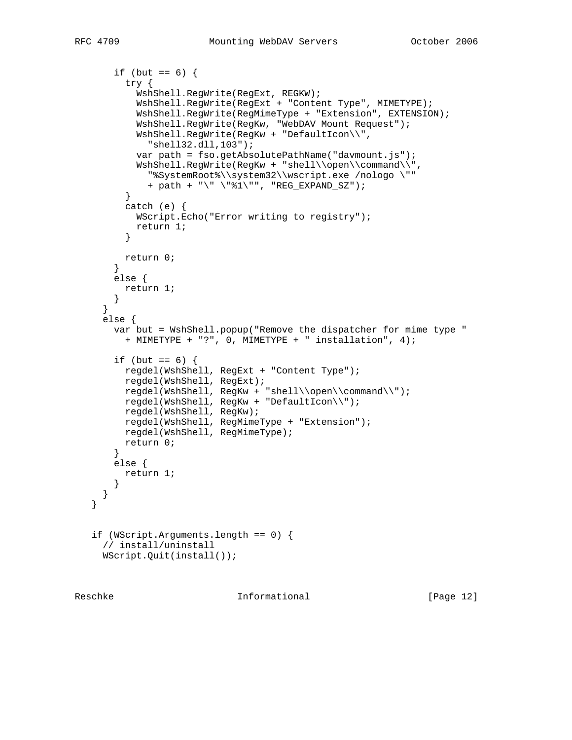```
if (but == 6) {
    try {
      WshShell.RegWrite(RegExt, REGKW);
      WshShell.RegWrite(RegExt + "Content Type", MIMETYPE);
      WshShell.RegWrite(RegMimeType + "Extension", EXTENSION);
      WshShell.RegWrite(RegKw, "WebDAV Mount Request");
      WshShell.RegWrite(RegKw + "DefaultIcon\\",
        "shell32.dll,103");
      var path = fso.getAbsolutePathName("davmount.js");
      WshShell.RegWrite(RegKw + "shell\\open\\command\\",
        "%SystemRoot%\\system32\\wscript.exe /nologo \""
        + path + "\" \"%1\"", "REG_EXPAND_SZ");
    }
    catch (e) {
     WScript.Echo("Error writing to registry");
     return 1;
    }
   return 0;
  }
 else {
   return 1;
  }
}
else {
 var but = WshShell.popup("Remove the dispatcher for mime type "
    + MIMETYPE + "?", 0, MIMETYPE + " installation", 4);
if (but == 6) {
   regdel(WshShell, RegExt + "Content Type");
   regdel(WshShell, RegExt);
   regdel(WshShell, RegKw + "shell\\open\\command\\");
   regdel(WshShell, RegKw + "DefaultIcon\\");
   regdel(WshShell, RegKw);
   regdel(WshShell, RegMimeType + "Extension");
   regdel(WshShell, RegMimeType);
   return 0;
  }
```
else {

 } } }

return 1;

 // install/uninstall WScript.Quit(install());

if (WScript.Arguments.length == 0) {

Reschke Informational [Page 12]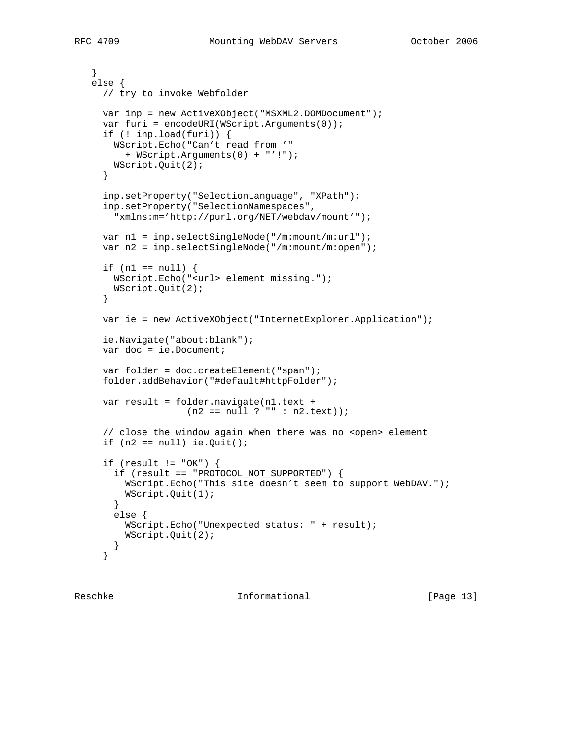```
 }
else {
 // try to invoke Webfolder
 var inp = new ActiveXObject("MSXML2.DOMDocument");
 var furi = encodeURI(WScript.Arguments(0));
 if (! inp.load(furi)) {
   WScript.Echo("Can't read from '"
      + WScript.Arguments(0) + "'!");
   WScript.Quit(2);
  }
  inp.setProperty("SelectionLanguage", "XPath");
  inp.setProperty("SelectionNamespaces",
    "xmlns:m='http://purl.org/NET/webdav/mount'");
 var n1 = inp.selectSingleNode("/m:mount/m:url");
 var n2 = inp.selectSingleNode("/m:mount/m:open");
if (n1 == null) {
   WScript.Echo("<url> element missing.");
   WScript.Quit(2);
  }
 var ie = new ActiveXObject("InternetExplorer.Application");
  ie.Navigate("about:blank");
 var doc = ie.Document;
 var folder = doc.createElement("span");
 folder.addBehavior("#default#httpFolder");
 var result = folder.navigate(n1.text +
                (n2 == null ? " " : n2.text)); // close the window again when there was no <open> element
 if (n2 == null) ie. Quit();
  if (result != "OK") {
    if (result == "PROTOCOL_NOT_SUPPORTED") {
```

```
 WScript.Echo("This site doesn't seem to support WebDAV.");
   WScript.Quit(1);
  }
 else {
    WScript.Echo("Unexpected status: " + result);
    WScript.Quit(2);
  }
}
```
Reschke Informational [Page 13]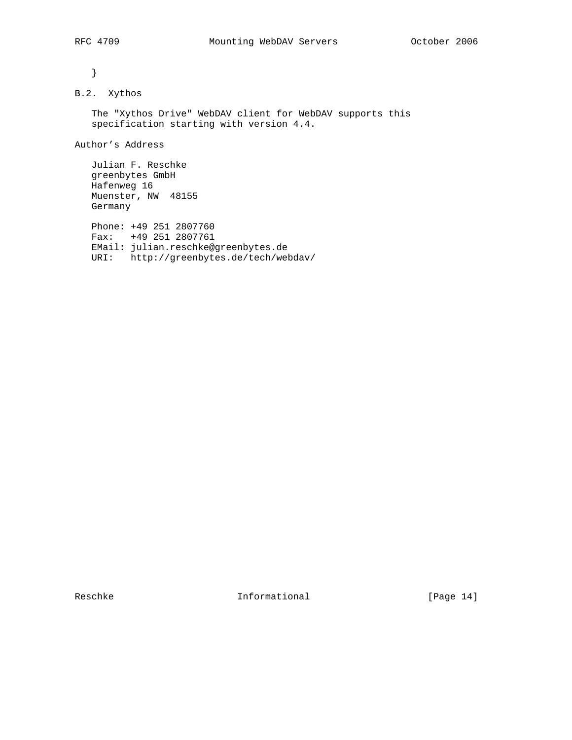}

# B.2. Xythos

 The "Xythos Drive" WebDAV client for WebDAV supports this specification starting with version 4.4.

Author's Address

 Julian F. Reschke greenbytes GmbH Hafenweg 16 Muenster, NW 48155 Germany

 Phone: +49 251 2807760 Fax: +49 251 2807761 EMail: julian.reschke@greenbytes.de URI: http://greenbytes.de/tech/webdav/

Reschke Informational [Page 14]